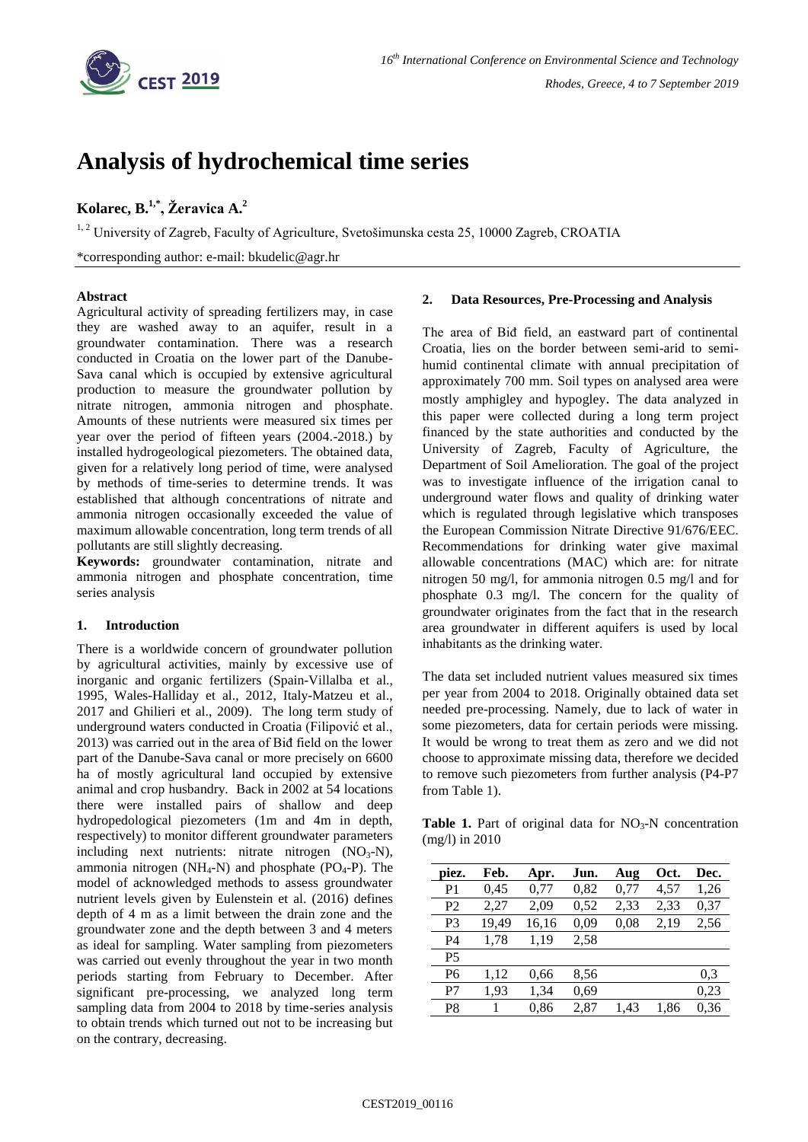

# **Analysis of hydrochemical time series**

# **Kolarec, B.1,\* , Žeravica A.<sup>2</sup>**

<sup>1, 2</sup> University of Zagreb, Faculty of Agriculture, Svetošimunska cesta 25, 10000 Zagreb, CROATIA

\*corresponding author: e-mail: bkudelic@agr.hr

### **Abstract**

Agricultural activity of spreading fertilizers may, in case they are washed away to an aquifer, result in a groundwater contamination. There was a research conducted in Croatia on the lower part of the Danube-Sava canal which is occupied by extensive agricultural production to measure the groundwater pollution by nitrate nitrogen, ammonia nitrogen and phosphate. Amounts of these nutrients were measured six times per year over the period of fifteen years (2004.-2018.) by installed hydrogeological piezometers. The obtained data, given for a relatively long period of time, were analysed by methods of time-series to determine trends. It was established that although concentrations of nitrate and ammonia nitrogen occasionally exceeded the value of maximum allowable concentration, long term trends of all pollutants are still slightly decreasing.

**Keywords:** groundwater contamination, nitrate and ammonia nitrogen and phosphate concentration, time series analysis

## **1. Introduction**

There is a worldwide concern of groundwater pollution by agricultural activities, mainly by excessive use of inorganic and organic fertilizers (Spain-Villalba et al., 1995, Wales-Halliday et al., 2012, Italy-Matzeu et al., 2017 and Ghilieri et al., 2009). The long term study of underground waters conducted in Croatia (Filipović et al., 2013) was carried out in the area of Biđ field on the lower part of the Danube-Sava canal or more precisely on 6600 ha of mostly agricultural land occupied by extensive animal and crop husbandry. Back in 2002 at 54 locations there were installed pairs of shallow and deep hydropedological piezometers (1m and 4m in depth, respectively) to monitor different groundwater parameters including next nutrients: nitrate nitrogen  $(NO<sub>3</sub>-N)$ , ammonia nitrogen ( $NH_4-N$ ) and phosphate ( $PO_4-P$ ). The model of acknowledged methods to assess groundwater nutrient levels given by Eulenstein et al. (2016) defines depth of 4 m as a limit between the drain zone and the groundwater zone and the depth between 3 and 4 meters as ideal for sampling. Water sampling from piezometers was carried out evenly throughout the year in two month periods starting from February to December. After significant pre-processing, we analyzed long term sampling data from 2004 to 2018 by time-series analysis to obtain trends which turned out not to be increasing but on the contrary, decreasing.

#### **2. Data Resources, Pre-Processing and Analysis**

The area of Biđ field, an eastward part of continental Croatia, lies on the border between semi-arid to semihumid continental climate with annual precipitation of approximately 700 mm. Soil types on analysed area were mostly amphigley and hypogley. The data analyzed in this paper were collected during a long term project financed by the state authorities and conducted by the University of Zagreb, Faculty of Agriculture, the Department of Soil Amelioration. The goal of the project was to investigate influence of the irrigation canal to underground water flows and quality of drinking water which is regulated through legislative which transposes the European Commission Nitrate Directive 91/676/EEC. Recommendations for drinking water give maximal allowable concentrations (MAC) which are: for nitrate nitrogen 50 mg/l, for ammonia nitrogen 0.5 mg/l and for phosphate 0.3 mg/l. The concern for the quality of groundwater originates from the fact that in the research area groundwater in different aquifers is used by local inhabitants as the drinking water.

The data set included nutrient values measured six times per year from 2004 to 2018. Originally obtained data set needed pre-processing. Namely, due to lack of water in some piezometers, data for certain periods were missing. It would be wrong to treat them as zero and we did not choose to approximate missing data, therefore we decided to remove such piezometers from further analysis (P4-P7 from Table 1).

**Table 1.** Part of original data for  $NO<sub>3</sub>-N$  concentration (mg/l) in 2010

| piez.          | Feb.  | Apr.  | Jun. | Aug  | Oct. | Dec. |
|----------------|-------|-------|------|------|------|------|
| P1             | 0.45  | 0,77  | 0,82 | 0,77 | 4,57 | 1,26 |
| P2             | 2,27  | 2,09  | 0.52 | 2,33 | 2,33 | 0,37 |
| P3             | 19,49 | 16,16 | 0,09 | 0,08 | 2,19 | 2,56 |
| P4             | 1,78  | 1,19  | 2.58 |      |      |      |
| P <sub>5</sub> |       |       |      |      |      |      |
| P6             | 1,12  | 0.66  | 8,56 |      |      | 0,3  |
| P7             | 1.93  | 1,34  | 0,69 |      |      | 0,23 |
| P8             | 1     | 0.86  | 2.87 | 1.43 | 1.86 | 0.36 |